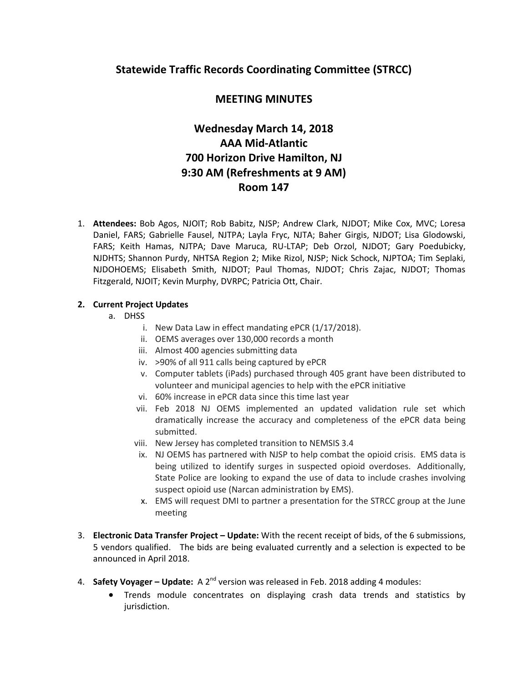## **Statewide Traffic Records Coordinating Committee (STRCC)**

# **MEETING MINUTES**

# **Wednesday March 14, 2018 AAA Mid-Atlantic 700 Horizon Drive Hamilton, NJ 9:30 AM (Refreshments at 9 AM) Room 147**

1. **Attendees:** Bob Agos, NJOIT; Rob Babitz, NJSP; Andrew Clark, NJDOT; Mike Cox, MVC; Loresa Daniel, FARS; Gabrielle Fausel, NJTPA; Layla Fryc, NJTA; Baher Girgis, NJDOT; Lisa Glodowski, FARS; Keith Hamas, NJTPA; Dave Maruca, RU-LTAP; Deb Orzol, NJDOT; Gary Poedubicky, NJDHTS; Shannon Purdy, NHTSA Region 2; Mike Rizol, NJSP; Nick Schock, NJPTOA; Tim Seplaki, NJDOHOEMS; Elisabeth Smith, NJDOT; Paul Thomas, NJDOT; Chris Zajac, NJDOT; Thomas Fitzgerald, NJOIT; Kevin Murphy, DVRPC; Patricia Ott, Chair.

## **2. Current Project Updates**

- a. DHSS
	- i. New Data Law in effect mandating ePCR (1/17/2018).
	- ii. OEMS averages over 130,000 records a month
	- iii. Almost 400 agencies submitting data
	- iv. >90% of all 911 calls being captured by ePCR
	- v. Computer tablets (iPads) purchased through 405 grant have been distributed to volunteer and municipal agencies to help with the ePCR initiative
	- vi. 60% increase in ePCR data since this time last year
	- vii. Feb 2018 NJ OEMS implemented an updated validation rule set which dramatically increase the accuracy and completeness of the ePCR data being submitted.
	- viii. New Jersey has completed transition to NEMSIS 3.4
	- ix. NJ OEMS has partnered with NJSP to help combat the opioid crisis. EMS data is being utilized to identify surges in suspected opioid overdoses. Additionally, State Police are looking to expand the use of data to include crashes involving suspect opioid use (Narcan administration by EMS).
	- x. EMS will request DMI to partner a presentation for the STRCC group at the June meeting
- 3. **Electronic Data Transfer Project – Update:** With the recent receipt of bids, of the 6 submissions, 5 vendors qualified. The bids are being evaluated currently and a selection is expected to be announced in April 2018.
- 4. **Safety Voyager – Update:** A 2nd version was released in Feb. 2018 adding 4 modules:
	- Trends module concentrates on displaying crash data trends and statistics by jurisdiction.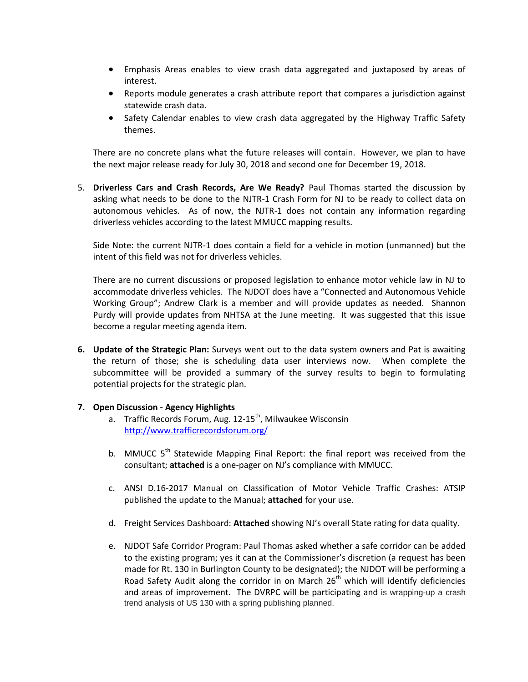- Emphasis Areas enables to view crash data aggregated and juxtaposed by areas of interest.
- Reports module generates a crash attribute report that compares a jurisdiction against statewide crash data.
- Safety Calendar enables to view crash data aggregated by the Highway Traffic Safety themes.

There are no concrete plans what the future releases will contain. However, we plan to have the next major release ready for July 30, 2018 and second one for December 19, 2018.

5. **Driverless Cars and Crash Records, Are We Ready?** Paul Thomas started the discussion by asking what needs to be done to the NJTR-1 Crash Form for NJ to be ready to collect data on autonomous vehicles. As of now, the NJTR-1 does not contain any information regarding driverless vehicles according to the latest MMUCC mapping results.

Side Note: the current NJTR-1 does contain a field for a vehicle in motion (unmanned) but the intent of this field was not for driverless vehicles.

There are no current discussions or proposed legislation to enhance motor vehicle law in NJ to accommodate driverless vehicles. The NJDOT does have a "Connected and Autonomous Vehicle Working Group"; Andrew Clark is a member and will provide updates as needed. Shannon Purdy will provide updates from NHTSA at the June meeting. It was suggested that this issue become a regular meeting agenda item.

**6. Update of the Strategic Plan:** Surveys went out to the data system owners and Pat is awaiting the return of those; she is scheduling data user interviews now. When complete the subcommittee will be provided a summary of the survey results to begin to formulating potential projects for the strategic plan.

### **7. Open Discussion - Agency Highlights**

- a. Traffic Records Forum, Aug.  $12-15$ <sup>th</sup>, Milwaukee Wisconsin <http://www.trafficrecordsforum.org/>
- b. MMUCC 5<sup>th</sup> Statewide Mapping Final Report: the final report was received from the consultant; **attached** is a one-pager on NJ's compliance with MMUCC.
- c. ANSI D.16-2017 Manual on Classification of Motor Vehicle Traffic Crashes: ATSIP published the update to the Manual; **attached** for your use.
- d. Freight Services Dashboard: **Attached** showing NJ's overall State rating for data quality.
- e. NJDOT Safe Corridor Program: Paul Thomas asked whether a safe corridor can be added to the existing program; yes it can at the Commissioner's discretion (a request has been made for Rt. 130 in Burlington County to be designated); the NJDOT will be performing a Road Safety Audit along the corridor in on March  $26<sup>th</sup>$  which will identify deficiencies and areas of improvement. The DVRPC will be participating and is wrapping-up a crash trend analysis of US 130 with a spring publishing planned.